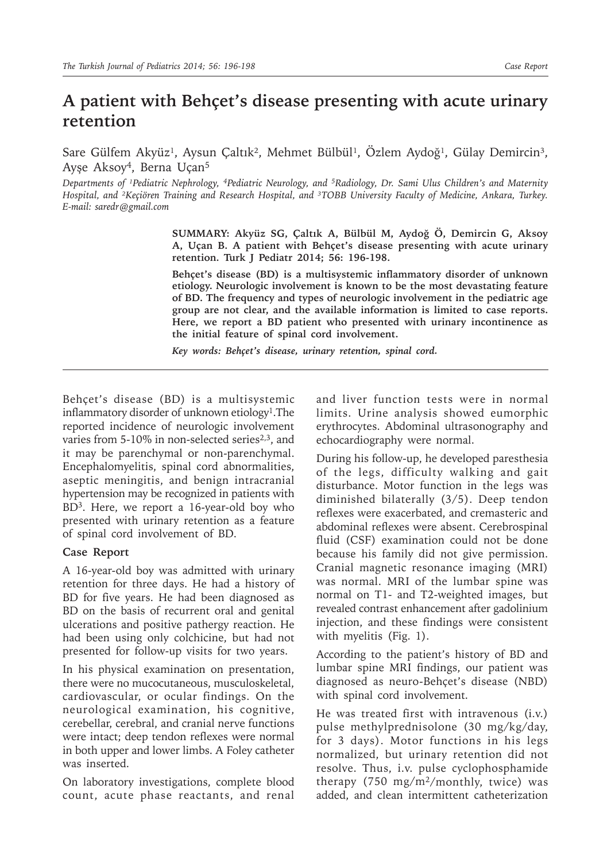# **A patient with Behçet's disease presenting with acute urinary retention**

Sare Gülfem Akyüz<sup>1</sup>, Aysun Çaltık<sup>2</sup>, Mehmet Bülbül<sup>1</sup>, Özlem Aydoğ<sup>1</sup>, Gülay Demircin<sup>3</sup>, Ayşe Aksoy4, Berna Uçan<sup>5</sup>

Departments of <sup>1</sup>Pediatric Nephrology, <sup>4</sup>Pediatric Neurology, and <sup>5</sup>Radiology, Dr. Sami Ulus Children's and Maternity *Hospital, and ²Keçiören Training and Research Hospital, and ³TOBB University Faculty of Medicine, Ankara, Turkey. E-mail: saredr@gmail.com*

> **SUMMARY: Akyüz SG, Çaltık A, Bülbül M, Aydoğ Ö, Demircin G, Aksoy A, Uçan B. A patient with Behçet's disease presenting with acute urinary retention. Turk J Pediatr 2014; 56: 196-198.**

> **Behçet's disease (BD) is a multisystemic inflammatory disorder of unknown etiology. Neurologic involvement is known to be the most devastating feature of BD. The frequency and types of neurologic involvement in the pediatric age group are not clear, and the available information is limited to case reports. Here, we report a BD patient who presented with urinary incontinence as the initial feature of spinal cord involvement.**

*Key words: Behçet's disease, urinary retention, spinal cord.*

Behçet's disease (BD) is a multisystemic inflammatory disorder of unknown etiology<sup>1</sup>. The reported incidence of neurologic involvement varies from 5-10% in non-selected series<sup>2,3</sup>, and it may be parenchymal or non-parenchymal. Encephalomyelitis, spinal cord abnormalities, aseptic meningitis, and benign intracranial hypertension may be recognized in patients with BD3. Here, we report a 16-year-old boy who presented with urinary retention as a feature of spinal cord involvement of BD.

## **Case Report**

A 16-year-old boy was admitted with urinary retention for three days. He had a history of BD for five years. He had been diagnosed as BD on the basis of recurrent oral and genital ulcerations and positive pathergy reaction. He had been using only colchicine, but had not presented for follow-up visits for two years.

In his physical examination on presentation, there were no mucocutaneous, musculoskeletal, cardiovascular, or ocular findings. On the neurological examination, his cognitive, cerebellar, cerebral, and cranial nerve functions were intact; deep tendon reflexes were normal in both upper and lower limbs. A Foley catheter was inserted.

On laboratory investigations, complete blood count, acute phase reactants, and renal

and liver function tests were in normal limits. Urine analysis showed eumorphic erythrocytes. Abdominal ultrasonography and echocardiography were normal.

During his follow-up, he developed paresthesia of the legs, difficulty walking and gait disturbance. Motor function in the legs was diminished bilaterally (3/5). Deep tendon reflexes were exacerbated, and cremasteric and abdominal reflexes were absent. Cerebrospinal fluid (CSF) examination could not be done because his family did not give permission. Cranial magnetic resonance imaging (MRI) was normal. MRI of the lumbar spine was normal on T1- and T2-weighted images, but revealed contrast enhancement after gadolinium injection, and these findings were consistent with myelitis (Fig. 1).

According to the patient's history of BD and lumbar spine MRI findings, our patient was diagnosed as neuro-Behçet's disease (NBD) with spinal cord involvement.

He was treated first with intravenous (i.v.) pulse methylprednisolone (30 mg/kg/day, for 3 days). Motor functions in his legs normalized, but urinary retention did not resolve. Thus, i.v. pulse cyclophosphamide therapy (750 mg/m<sup>2</sup>/monthly, twice) was added, and clean intermittent catheterization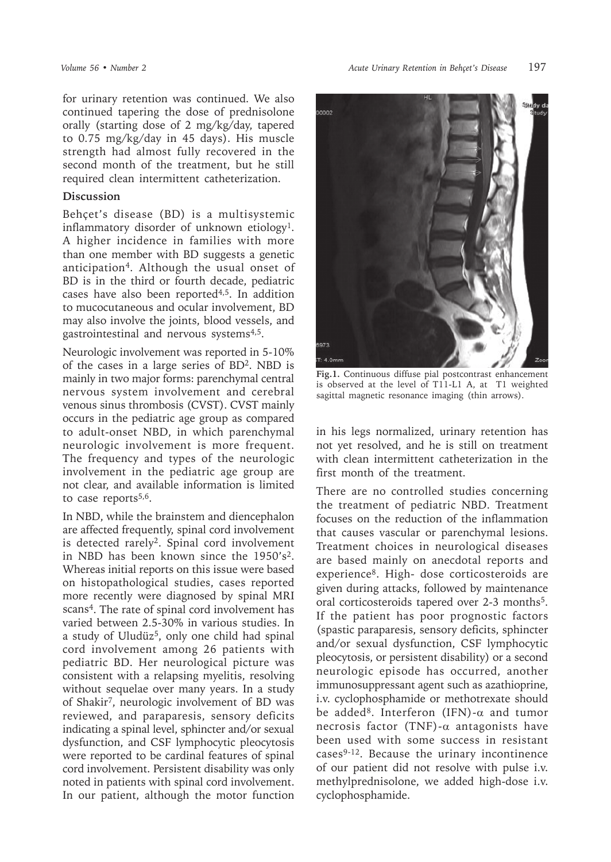for urinary retention was continued. We also continued tapering the dose of prednisolone orally (starting dose of 2 mg/kg/day, tapered to 0.75 mg/kg/day in 45 days). His muscle strength had almost fully recovered in the second month of the treatment, but he still required clean intermittent catheterization.

### **Discussion**

Behçet's disease (BD) is a multisystemic inflammatory disorder of unknown etiology<sup>1</sup>. A higher incidence in families with more than one member with BD suggests a genetic anticipation<sup>4</sup>. Although the usual onset of BD is in the third or fourth decade, pediatric cases have also been reported $4,5$ . In addition to mucocutaneous and ocular involvement, BD may also involve the joints, blood vessels, and gastrointestinal and nervous systems $4.5$ .

Neurologic involvement was reported in 5-10% of the cases in a large series of BD<sup>2</sup>. NBD is mainly in two major forms: parenchymal central nervous system involvement and cerebral venous sinus thrombosis (CVST). CVST mainly occurs in the pediatric age group as compared to adult-onset NBD, in which parenchymal neurologic involvement is more frequent. The frequency and types of the neurologic involvement in the pediatric age group are not clear, and available information is limited to case reports<sup>5,6</sup>.

In NBD, while the brainstem and diencephalon are affected frequently, spinal cord involvement is detected rarely<sup>2</sup>. Spinal cord involvement in NBD has been known since the 1950's<sup>2</sup>. Whereas initial reports on this issue were based on histopathological studies, cases reported more recently were diagnosed by spinal MRI scans<sup>4</sup>. The rate of spinal cord involvement has varied between 2.5-30% in various studies. In a study of Uludüz<sup>5</sup>, only one child had spinal cord involvement among 26 patients with pediatric BD. Her neurological picture was consistent with a relapsing myelitis, resolving without sequelae over many years. In a study of Shakir7, neurologic involvement of BD was reviewed, and paraparesis, sensory deficits indicating a spinal level, sphincter and/or sexual dysfunction, and CSF lymphocytic pleocytosis were reported to be cardinal features of spinal cord involvement. Persistent disability was only noted in patients with spinal cord involvement. In our patient, although the motor function



**Fig.1.** Continuous diffuse pial postcontrast enhancement is observed at the level of T11-L1 A, at T1 weighted sagittal magnetic resonance imaging (thin arrows).

in his legs normalized, urinary retention has not yet resolved, and he is still on treatment with clean intermittent catheterization in the first month of the treatment.

There are no controlled studies concerning the treatment of pediatric NBD. Treatment focuses on the reduction of the inflammation that causes vascular or parenchymal lesions. Treatment choices in neurological diseases are based mainly on anecdotal reports and experience8. High- dose corticosteroids are given during attacks, followed by maintenance oral corticosteroids tapered over 2-3 months<sup>5</sup>. If the patient has poor prognostic factors (spastic paraparesis, sensory deficits, sphincter and/or sexual dysfunction, CSF lymphocytic pleocytosis, or persistent disability) or a second neurologic episode has occurred, another immunosuppressant agent such as azathioprine, i.v. cyclophosphamide or methotrexate should be added<sup>8</sup>. Interferon (IFN)- $\alpha$  and tumor necrosis factor (TNF)- $\alpha$  antagonists have been used with some success in resistant cases9-12. Because the urinary incontinence of our patient did not resolve with pulse i.v. methylprednisolone, we added high-dose i.v. cyclophosphamide.